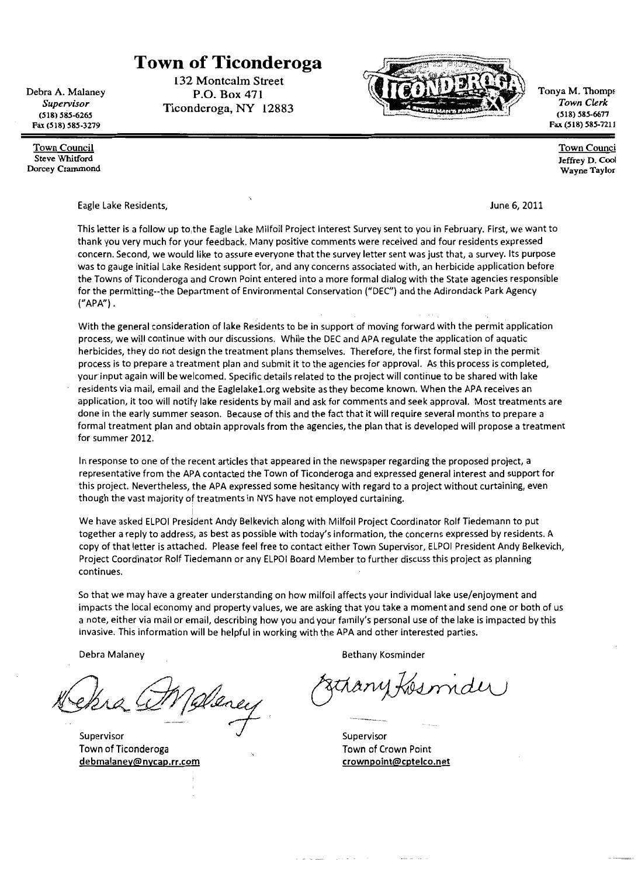#### **Town of Ticonderoga** 132 Montcalm Street

P.O. Box 471

Ticonderoga, NY 12883

Debra A. Malaney Supervisor  $(518) 585 - 6265$ Fax (518) 585-3279

**Town Council Steve Whitford** Dorcey Crammond

Tonya M. Thomps Town Clerk  $(518) 585 - 6677$ Fax (518) 585-7211

> **Town Counci** Jeffrey D. Cool Wayne Taylor

Eagle Lake Residents,

June 6, 2011

This letter is a follow up to the Eagle Lake Milfoil Project Interest Survey sent to you in February. First, we want to thank you very much for your feedback. Many positive comments were received and four residents expressed concern. Second, we would like to assure everyone that the survey letter sent was just that, a survey. Its purpose was to gauge initial Lake Resident support for, and any concerns associated with, an herbicide application before the Towns of Ticonderoga and Crown Point entered into a more formal dialog with the State agencies responsible for the permitting--the Department of Environmental Conservation ("DEC") and the Adirondack Park Agency  $("APA").$ 

With the general consideration of lake Residents to be in support of moving forward with the permit application process, we will continue with our discussions. While the DEC and APA regulate the application of aquatic herbicides, they do not design the treatment plans themselves. Therefore, the first formal step in the permit process is to prepare a treatment plan and submit it to the agencies for approval. As this process is completed, your input again will be welcomed. Specific details related to the project will continue to be shared with lake residents via mail, email and the Eaglelake1.org website as they become known. When the APA receives an application, it too will notify lake residents by mail and ask for comments and seek approval. Most treatments are done in the early summer season. Because of this and the fact that it will require several months to prepare a formal treatment plan and obtain approvals from the agencies, the plan that is developed will propose a treatment for summer 2012.

In response to one of the recent articles that appeared in the newspaper regarding the proposed project, a representative from the APA contacted the Town of Ticonderoga and expressed general interest and support for this project. Nevertheless, the APA expressed some hesitancy with regard to a project without curtaining, even though the vast majority of treatments in NYS have not employed curtaining.

We have asked ELPOI President Andy Belkevich along with Milfoil Project Coordinator Rolf Tiedemann to put together a reply to address, as best as possible with today's information, the concerns expressed by residents. A copy of that letter is attached. Please feel free to contact either Town Supervisor, ELPOI President Andy Belkevich, Project Coordinator Rolf Tiedemann or any ELPOI Board Member to further discuss this project as planning continues.

So that we may have a greater understanding on how milfoil affects your individual lake use/enjoyment and impacts the local economy and property values, we are asking that you take a moment and send one or both of us a note, either via mail or email, describing how you and your family's personal use of the lake is impacted by this invasive. This information will be helpful in working with the APA and other interested parties.

Debra Malaney

Weney

Supervisor Town of Ticonderoga debmalaney@nycap.rr.com

**Bethany Kosminder** 

Supervisor Town of Crown Point crownpoint@cptelco.net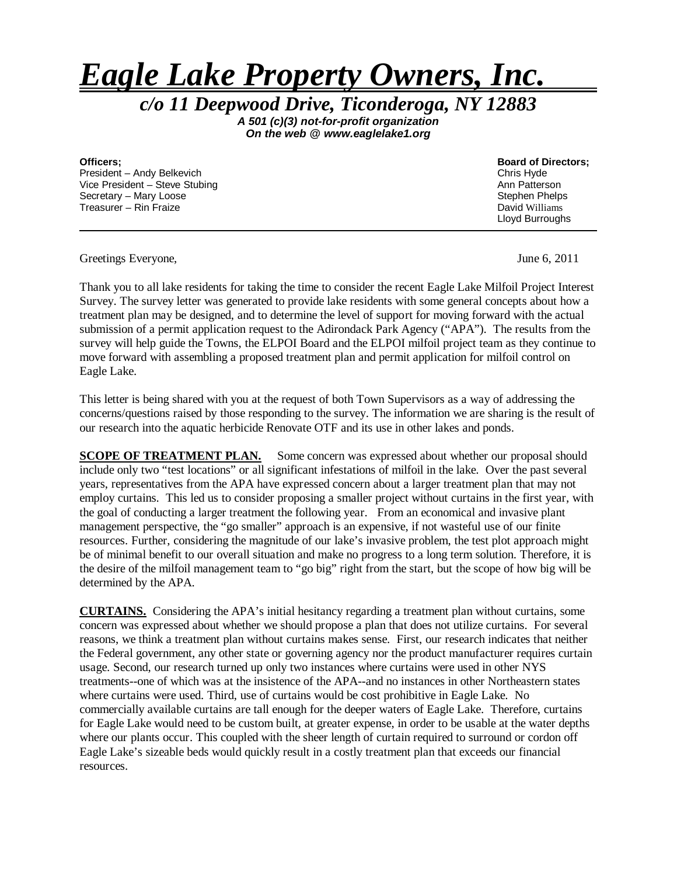# *Eagle Lake Property Owners, Inc.*

*c/o 11 Deepwood Drive, Ticonderoga, NY 12883*

*A 501 (c)(3) not-for-profit organization On the web @ www.eaglelake1.org*

**Officers; Board of Directors; Board of Directors; Board of Directors; Board of Directors; President – Andy Belkevich** President – Andy Belkevich Chris Hyde<br>
Vice President – Steve Stubing Chris Hyde Chris Hyde Chris Hyde Chris Hyde Chris Hyde Chris Hyde Chris Hyde C Vice President – Steve Stubing Secretary – Mary Loose Secretary – Mary Loose Stephen Phelps<br>
Treasurer – Rin Fraize Stephen Phelps<br>
Stephen Phelps Stephen Phelps Stephen Phelps Stephen Phelps Stephen Phelps Stephen Phelps Stephen Phelps Stephen Phelps S Treasurer – Rin Fraize

Lloyd Burroughs

Greetings Everyone, June 6, 2011

Thank you to all lake residents for taking the time to consider the recent Eagle Lake Milfoil Project Interest Survey. The survey letter was generated to provide lake residents with some general concepts about how a treatment plan may be designed, and to determine the level of support for moving forward with the actual submission of a permit application request to the Adirondack Park Agency ("APA"). The results from the survey will help guide the Towns, the ELPOI Board and the ELPOI milfoil project team as they continue to move forward with assembling a proposed treatment plan and permit application for milfoil control on Eagle Lake.

This letter is being shared with you at the request of both Town Supervisors as a way of addressing the concerns/questions raised by those responding to the survey. The information we are sharing is the result of our research into the aquatic herbicide Renovate OTF and its use in other lakes and ponds.

**SCOPE OF TREATMENT PLAN.** Some concern was expressed about whether our proposal should include only two "test locations" or all significant infestations of milfoil in the lake. Over the past several years, representatives from the APA have expressed concern about a larger treatment plan that may not employ curtains. This led us to consider proposing a smaller project without curtains in the first year, with the goal of conducting a larger treatment the following year. From an economical and invasive plant management perspective, the "go smaller" approach is an expensive, if not wasteful use of our finite resources. Further, considering the magnitude of our lake's invasive problem, the test plot approach might be of minimal benefit to our overall situation and make no progress to a long term solution. Therefore, it is the desire of the milfoil management team to "go big" right from the start, but the scope of how big will be determined by the APA.

**CURTAINS.** Considering the APA's initial hesitancy regarding a treatment plan without curtains, some concern was expressed about whether we should propose a plan that does not utilize curtains. For several reasons, we think a treatment plan without curtains makes sense. First, our research indicates that neither the Federal government, any other state or governing agency nor the product manufacturer requires curtain usage. Second, our research turned up only two instances where curtains were used in other NYS treatments--one of which was at the insistence of the APA--and no instances in other Northeastern states where curtains were used. Third, use of curtains would be cost prohibitive in Eagle Lake. No commercially available curtains are tall enough for the deeper waters of Eagle Lake. Therefore, curtains for Eagle Lake would need to be custom built, at greater expense, in order to be usable at the water depths where our plants occur. This coupled with the sheer length of curtain required to surround or cordon off Eagle Lake's sizeable beds would quickly result in a costly treatment plan that exceeds our financial resources.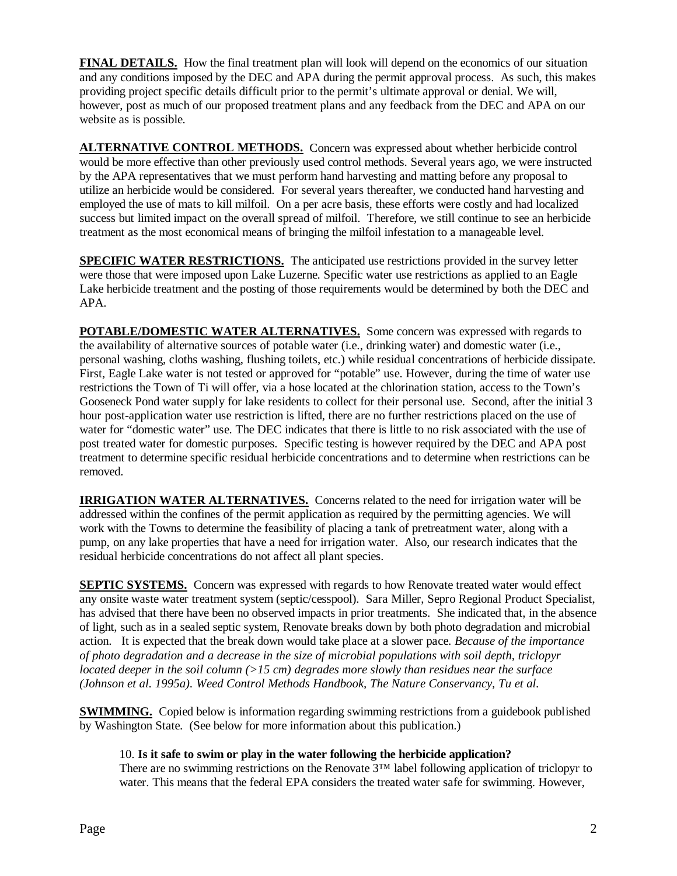**FINAL DETAILS.** How the final treatment plan will look will depend on the economics of our situation and any conditions imposed by the DEC and APA during the permit approval process. As such, this makes providing project specific details difficult prior to the permit's ultimate approval or denial. We will, however, post as much of our proposed treatment plans and any feedback from the DEC and APA on our website as is possible.

**ALTERNATIVE CONTROL METHODS.** Concern was expressed about whether herbicide control would be more effective than other previously used control methods. Several years ago, we were instructed by the APA representatives that we must perform hand harvesting and matting before any proposal to utilize an herbicide would be considered. For several years thereafter, we conducted hand harvesting and employed the use of mats to kill milfoil. On a per acre basis, these efforts were costly and had localized success but limited impact on the overall spread of milfoil. Therefore, we still continue to see an herbicide treatment as the most economical means of bringing the milfoil infestation to a manageable level.

**SPECIFIC WATER RESTRICTIONS.** The anticipated use restrictions provided in the survey letter were those that were imposed upon Lake Luzerne. Specific water use restrictions as applied to an Eagle Lake herbicide treatment and the posting of those requirements would be determined by both the DEC and APA.

**POTABLE/DOMESTIC WATER ALTERNATIVES.** Some concern was expressed with regards to the availability of alternative sources of potable water (i.e., drinking water) and domestic water (i.e., personal washing, cloths washing, flushing toilets, etc.) while residual concentrations of herbicide dissipate. First, Eagle Lake water is not tested or approved for "potable" use. However, during the time of water use restrictions the Town of Ti will offer, via a hose located at the chlorination station, access to the Town's Gooseneck Pond water supply for lake residents to collect for their personal use. Second, after the initial 3 hour post-application water use restriction is lifted, there are no further restrictions placed on the use of water for "domestic water" use. The DEC indicates that there is little to no risk associated with the use of post treated water for domestic purposes. Specific testing is however required by the DEC and APA post treatment to determine specific residual herbicide concentrations and to determine when restrictions can be removed.

**IRRIGATION WATER ALTERNATIVES.** Concerns related to the need for irrigation water will be addressed within the confines of the permit application as required by the permitting agencies. We will work with the Towns to determine the feasibility of placing a tank of pretreatment water, along with a pump, on any lake properties that have a need for irrigation water. Also, our research indicates that the residual herbicide concentrations do not affect all plant species.

**SEPTIC SYSTEMS.** Concern was expressed with regards to how Renovate treated water would effect any onsite waste water treatment system (septic/cesspool). Sara Miller, Sepro Regional Product Specialist, has advised that there have been no observed impacts in prior treatments. She indicated that, in the absence of light, such as in a sealed septic system, Renovate breaks down by both photo degradation and microbial action. It is expected that the break down would take place at a slower pace. *Because of the importance of photo degradation and a decrease in the size of microbial populations with soil depth, triclopyr located deeper in the soil column (>15 cm) degrades more slowly than residues near the surface (Johnson et al. 1995a). Weed Control Methods Handbook, The Nature Conservancy, Tu et al.*

**SWIMMING.** Copied below is information regarding swimming restrictions from a guidebook published by Washington State. (See below for more information about this publication.)

#### 10. **Is it safe to swim or play in the water following the herbicide application?**

There are no swimming restrictions on the Renovate 3™ label following application of triclopyr to water. This means that the federal EPA considers the treated water safe for swimming. However,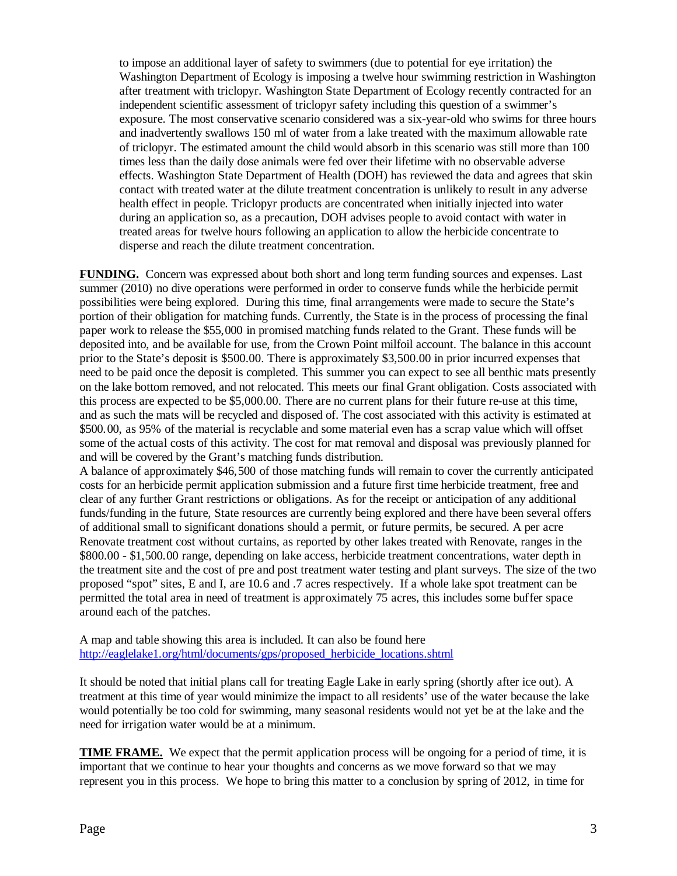to impose an additional layer of safety to swimmers (due to potential for eye irritation) the Washington Department of Ecology is imposing a twelve hour swimming restriction in Washington after treatment with triclopyr. Washington State Department of Ecology recently contracted for an independent scientific assessment of triclopyr safety including this question of a swimmer's exposure. The most conservative scenario considered was a six-year-old who swims for three hours and inadvertently swallows 150 ml of water from a lake treated with the maximum allowable rate of triclopyr. The estimated amount the child would absorb in this scenario was still more than 100 times less than the daily dose animals were fed over their lifetime with no observable adverse effects. Washington State Department of Health (DOH) has reviewed the data and agrees that skin contact with treated water at the dilute treatment concentration is unlikely to result in any adverse health effect in people. Triclopyr products are concentrated when initially injected into water during an application so, as a precaution, DOH advises people to avoid contact with water in treated areas for twelve hours following an application to allow the herbicide concentrate to disperse and reach the dilute treatment concentration.

**FUNDING.** Concern was expressed about both short and long term funding sources and expenses. Last summer (2010) no dive operations were performed in order to conserve funds while the herbicide permit possibilities were being explored. During this time, final arrangements were made to secure the State's portion of their obligation for matching funds. Currently, the State is in the process of processing the final paper work to release the \$55,000 in promised matching funds related to the Grant. These funds will be deposited into, and be available for use, from the Crown Point milfoil account. The balance in this account prior to the State's deposit is \$500.00. There is approximately \$3,500.00 in prior incurred expenses that need to be paid once the deposit is completed. This summer you can expect to see all benthic mats presently on the lake bottom removed, and not relocated. This meets our final Grant obligation. Costs associated with this process are expected to be \$5,000.00. There are no current plans for their future re-use at this time, and as such the mats will be recycled and disposed of. The cost associated with this activity is estimated at \$500.00, as 95% of the material is recyclable and some material even has a scrap value which will offset some of the actual costs of this activity. The cost for mat removal and disposal was previously planned for and will be covered by the Grant's matching funds distribution.

A balance of approximately \$46,500 of those matching funds will remain to cover the currently anticipated costs for an herbicide permit application submission and a future first time herbicide treatment, free and clear of any further Grant restrictions or obligations. As for the receipt or anticipation of any additional funds/funding in the future, State resources are currently being explored and there have been several offers of additional small to significant donations should a permit, or future permits, be secured. A per acre Renovate treatment cost without curtains, as reported by other lakes treated with Renovate, ranges in the \$800.00 - \$1,500.00 range, depending on lake access, herbicide treatment concentrations, water depth in the treatment site and the cost of pre and post treatment water testing and plant surveys. The size of the two proposed "spot" sites, E and I, are 10.6 and .7 acres respectively. If a whole lake spot treatment can be permitted the total area in need of treatment is approximately 75 acres, this includes some buffer space around each of the patches.

A map and table showing this area is included. It can also be found here [http://eaglelake1.org/html/documents/gps/proposed\\_herbicide\\_locations.shtml](http://eaglelake1.org/html/documents/gps/proposed_herbicide_locations.shtml)

It should be noted that initial plans call for treating Eagle Lake in early spring (shortly after ice out). A treatment at this time of year would minimize the impact to all residents' use of the water because the lake would potentially be too cold for swimming, many seasonal residents would not yet be at the lake and the need for irrigation water would be at a minimum.

**TIME FRAME.** We expect that the permit application process will be ongoing for a period of time, it is important that we continue to hear your thoughts and concerns as we move forward so that we may represent you in this process. We hope to bring this matter to a conclusion by spring of 2012, in time for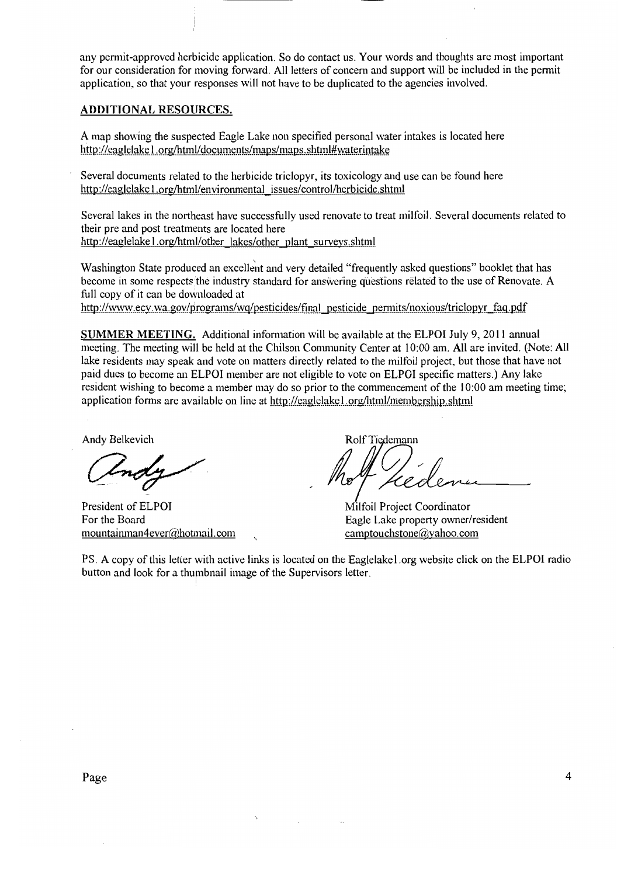any permit-approved herbicide application. So do contact us. Your words and thoughts are most important for our consideration for moving forward. All letters of concern and support will be included in the permit application, so that your responses will not have to be duplicated to the agencies involved.

#### **ADDITIONAL RESOURCES.**

A map showing the suspected Eagle Lake non specified personal water intakes is located here http://eaglelake1.org/html/documents/maps/maps.shtml#waterintake

Several documents related to the herbicide triclopyr, its toxicology and use can be found here http://eaglelake1.org/html/environmental\_issues/control/herbicide.shtml

Several lakes in the northeast have successfully used renovate to treat milfoil. Several documents related to their pre and post treatments are located here http://eaglelake1.org/html/other lakes/other plant surveys.shtml

Washington State produced an excellent and very detailed "frequently asked questions" booklet that has become in some respects the industry standard for answering questions related to the use of Renovate. A full copy of it can be downloaded at

http://www.ecy.wa.gov/programs/wq/pesticides/final pesticide permits/noxious/triclopyr faq.pdf

**SUMMER MEETING.** Additional information will be available at the ELPOI July 9, 2011 annual meeting. The meeting will be held at the Chilson Community Center at 10:00 am. All are invited. (Note: All lake residents may speak and vote on matters directly related to the milfoil project, but those that have not paid dues to become an ELPOI member are not eligible to vote on ELPOI specific matters.) Any lake resident wishing to become a member may do so prior to the commencement of the 10:00 am meeting time; application forms are available on line at http://eaglelakel.org/html/membership.shtml

Andy Belkevich

President of ELPOI For the Board mountainman4ever@hotmail.com

Rolf Tiedemann

Milfoil Project Coordinator Eagle Lake property owner/resident camptouchstone@yahoo.com

PS. A copy of this letter with active links is located on the Eaglelakel org website click on the ELPOI radio button and look for a thumbnail image of the Supervisors letter.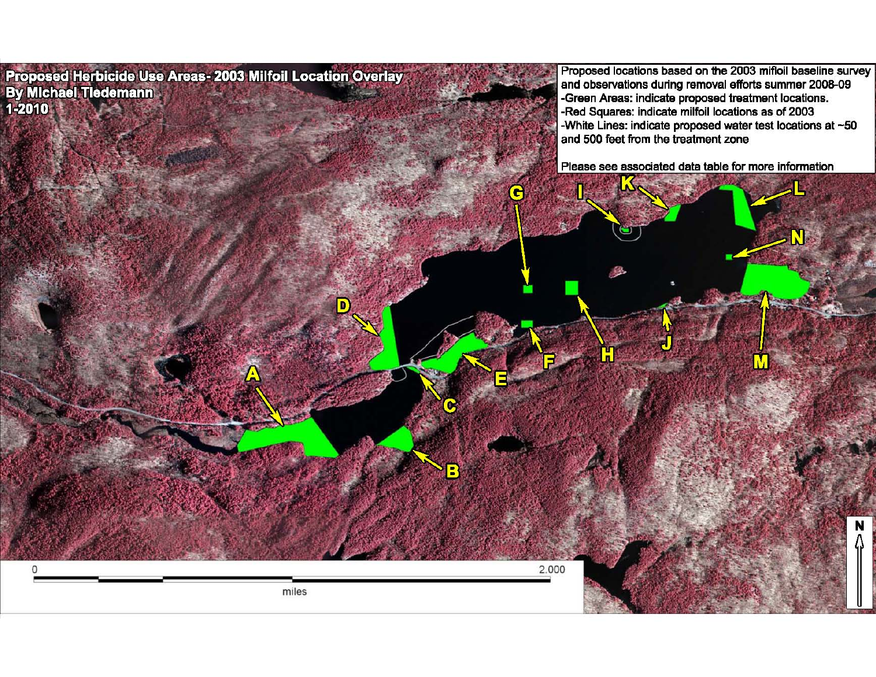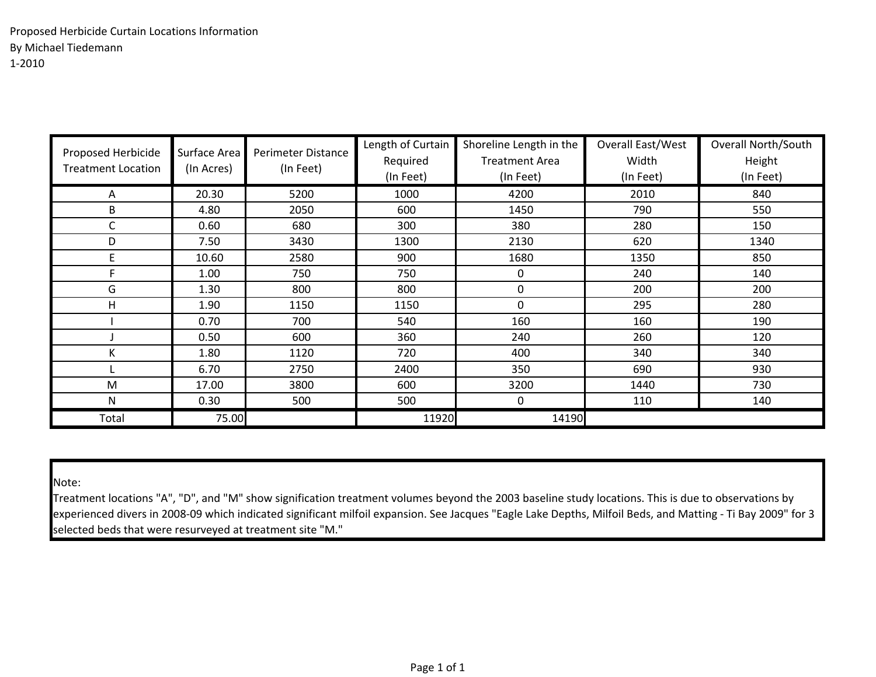| Proposed Herbicide<br><b>Treatment Location</b> | Surface Area<br>(In Acres) | Perimeter Distance<br>(In Feet) | Length of Curtain<br>Required<br>(In Feet) | Shoreline Length in the<br><b>Treatment Area</b><br>(In Feet) | Overall East/West<br>Width<br>(In Feet) | <b>Overall North/South</b><br>Height<br>(In Feet) |
|-------------------------------------------------|----------------------------|---------------------------------|--------------------------------------------|---------------------------------------------------------------|-----------------------------------------|---------------------------------------------------|
| A                                               | 20.30                      | 5200                            | 1000                                       | 4200                                                          | 2010                                    | 840                                               |
| B                                               | 4.80                       | 2050                            | 600                                        | 1450                                                          | 790                                     | 550                                               |
| C                                               | 0.60                       | 680                             | 300                                        | 380                                                           | 280                                     | 150                                               |
| D                                               | 7.50                       | 3430                            | 1300                                       | 2130                                                          | 620                                     | 1340                                              |
| E                                               | 10.60                      | 2580                            | 900                                        | 1680                                                          | 1350                                    | 850                                               |
| F                                               | 1.00                       | 750                             | 750                                        | $\mathbf 0$                                                   | 240                                     | 140                                               |
| G                                               | 1.30                       | 800                             | 800                                        | 0                                                             | 200                                     | 200                                               |
| H                                               | 1.90                       | 1150                            | 1150                                       | $\Omega$                                                      | 295                                     | 280                                               |
|                                                 | 0.70                       | 700                             | 540                                        | 160                                                           | 160                                     | 190                                               |
|                                                 | 0.50                       | 600                             | 360                                        | 240                                                           | 260                                     | 120                                               |
| K                                               | 1.80                       | 1120                            | 720                                        | 400                                                           | 340                                     | 340                                               |
|                                                 | 6.70                       | 2750                            | 2400                                       | 350                                                           | 690                                     | 930                                               |
| M                                               | 17.00                      | 3800                            | 600                                        | 3200                                                          | 1440                                    | 730                                               |
| N                                               | 0.30                       | 500                             | 500                                        | $\mathbf 0$                                                   | 110                                     | 140                                               |
| Total                                           | 75.00                      |                                 | 11920                                      | 14190                                                         |                                         |                                                   |

Note:

Treatment locations "A", "D", and "M" show signification treatment volumes beyond the 2003 baseline study locations. This is due to observations by experienced divers in 2008-09 which indicated significant milfoil expansion. See Jacques "Eagle Lake Depths, Milfoil Beds, and Matting - Ti Bay 2009" for 3 selected beds that were resurveyed at treatment site "M."